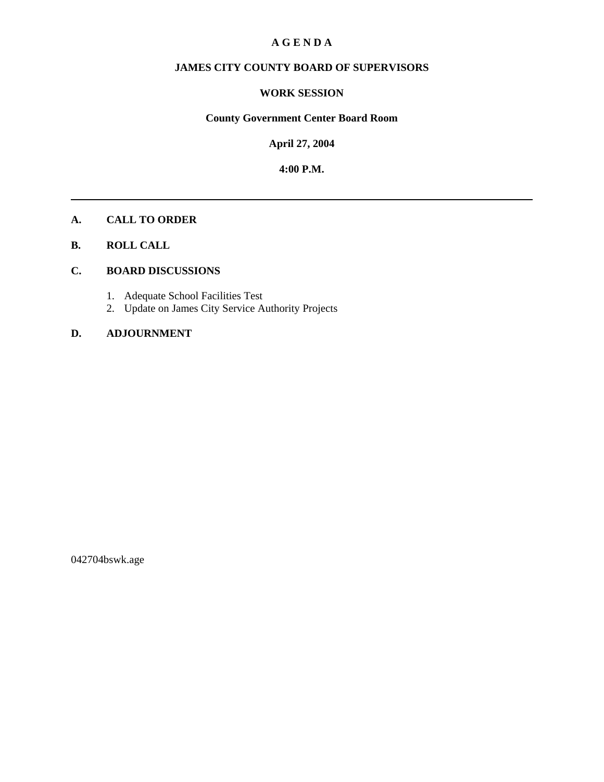## **A G E N D A**

# **JAMES CITY COUNTY BOARD OF SUPERVISORS**

## **WORK SESSION**

# **County Government Center Board Room**

**April 27, 2004**

**4:00 P.M.**

### **A. CALL TO ORDER**

**B. ROLL CALL**

## **C. BOARD DISCUSSIONS**

- 1. Adequate School Facilities Test
- 2. Update on James City Service Authority Projects

## **D. ADJOURNMENT**

042704bswk.age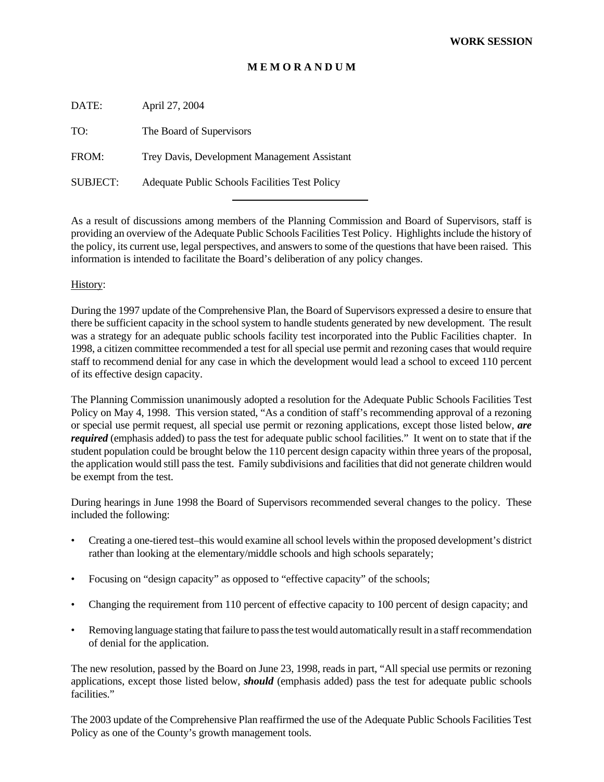## **M E M O R A N D U M**

| DATE:           | April 27, 2004                                 |
|-----------------|------------------------------------------------|
| TO:             | The Board of Supervisors                       |
| FROM:           | Trey Davis, Development Management Assistant   |
| <b>SUBJECT:</b> | Adequate Public Schools Facilities Test Policy |

As a result of discussions among members of the Planning Commission and Board of Supervisors, staff is providing an overview of the Adequate Public Schools Facilities Test Policy. Highlights include the history of the policy, its current use, legal perspectives, and answers to some of the questions that have been raised. This information is intended to facilitate the Board's deliberation of any policy changes.

#### History:

During the 1997 update of the Comprehensive Plan, the Board of Supervisors expressed a desire to ensure that there be sufficient capacity in the school system to handle students generated by new development. The result was a strategy for an adequate public schools facility test incorporated into the Public Facilities chapter. In 1998, a citizen committee recommended a test for all special use permit and rezoning cases that would require staff to recommend denial for any case in which the development would lead a school to exceed 110 percent of its effective design capacity.

The Planning Commission unanimously adopted a resolution for the Adequate Public Schools Facilities Test Policy on May 4, 1998. This version stated, "As a condition of staff's recommending approval of a rezoning or special use permit request, all special use permit or rezoning applications, except those listed below, *are required* (emphasis added) to pass the test for adequate public school facilities." It went on to state that if the student population could be brought below the 110 percent design capacity within three years of the proposal, the application would still pass the test. Family subdivisions and facilities that did not generate children would be exempt from the test.

During hearings in June 1998 the Board of Supervisors recommended several changes to the policy. These included the following:

- Creating a one-tiered test–this would examine all school levels within the proposed development's district rather than looking at the elementary/middle schools and high schools separately;
- Focusing on "design capacity" as opposed to "effective capacity" of the schools;
- Changing the requirement from 110 percent of effective capacity to 100 percent of design capacity; and
- Removing language stating that failure to pass the test would automatically result in a staff recommendation of denial for the application.

The new resolution, passed by the Board on June 23, 1998, reads in part, "All special use permits or rezoning applications, except those listed below, *should* (emphasis added) pass the test for adequate public schools facilities."

The 2003 update of the Comprehensive Plan reaffirmed the use of the Adequate Public Schools Facilities Test Policy as one of the County's growth management tools.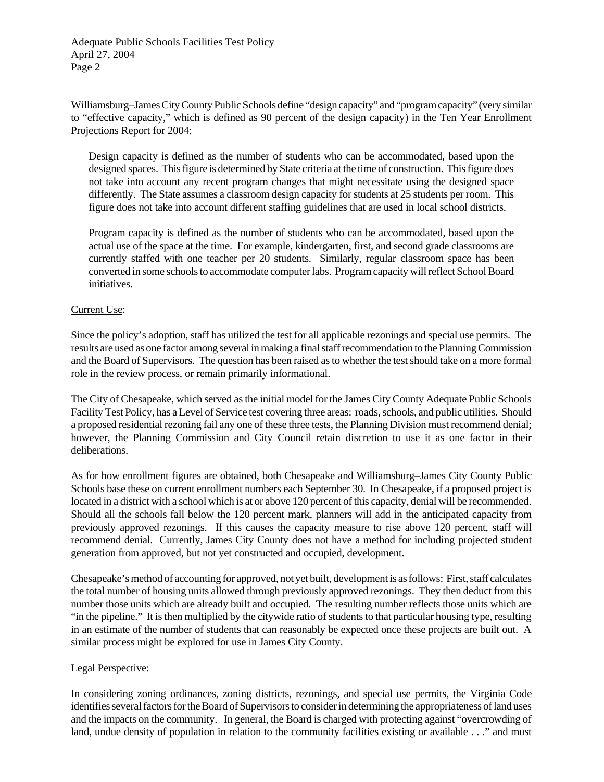Adequate Public Schools Facilities Test Policy April 27, 2004 Page 2

Williamsburg–James City County Public Schools define "design capacity" and "program capacity" (very similar to "effective capacity," which is defined as 90 percent of the design capacity) in the Ten Year Enrollment Projections Report for 2004:

Design capacity is defined as the number of students who can be accommodated, based upon the designed spaces. This figure is determined by State criteria at the time of construction. This figure does not take into account any recent program changes that might necessitate using the designed space differently. The State assumes a classroom design capacity for students at 25 students per room. This figure does not take into account different staffing guidelines that are used in local school districts.

Program capacity is defined as the number of students who can be accommodated, based upon the actual use of the space at the time. For example, kindergarten, first, and second grade classrooms are currently staffed with one teacher per 20 students. Similarly, regular classroom space has been converted in some schools to accommodate computer labs. Program capacity will reflect School Board initiatives.

## Current Use:

Since the policy's adoption, staff has utilized the test for all applicable rezonings and special use permits. The results are used as one factor among several in making a final staff recommendation to the Planning Commission and the Board of Supervisors. The question has been raised as to whether the test should take on a more formal role in the review process, or remain primarily informational.

The City of Chesapeake, which served as the initial model for the James City County Adequate Public Schools Facility Test Policy, has a Level of Service test covering three areas: roads, schools, and public utilities. Should a proposed residential rezoning fail any one of these three tests, the Planning Division must recommend denial; however, the Planning Commission and City Council retain discretion to use it as one factor in their deliberations.

As for how enrollment figures are obtained, both Chesapeake and Williamsburg–James City County Public Schools base these on current enrollment numbers each September 30. In Chesapeake, if a proposed project is located in a district with a school which is at or above 120 percent of this capacity, denial will be recommended. Should all the schools fall below the 120 percent mark, planners will add in the anticipated capacity from previously approved rezonings. If this causes the capacity measure to rise above 120 percent, staff will recommend denial. Currently, James City County does not have a method for including projected student generation from approved, but not yet constructed and occupied, development.

Chesapeake's method of accounting for approved, not yet built, development is as follows: First, staff calculates the total number of housing units allowed through previously approved rezonings. They then deduct from this number those units which are already built and occupied. The resulting number reflects those units which are "in the pipeline." It is then multiplied by the citywide ratio of students to that particular housing type, resulting in an estimate of the number of students that can reasonably be expected once these projects are built out. A similar process might be explored for use in James City County.

## Legal Perspective:

In considering zoning ordinances, zoning districts, rezonings, and special use permits, the Virginia Code identifies several factors for the Board of Supervisors to consider in determining the appropriateness of land uses and the impacts on the community. In general, the Board is charged with protecting against "overcrowding of land, undue density of population in relation to the community facilities existing or available . . ." and must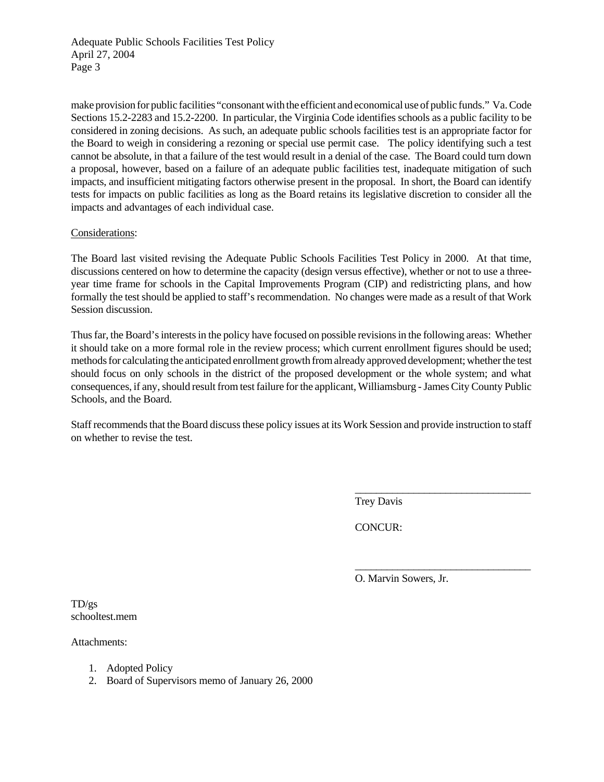Adequate Public Schools Facilities Test Policy April 27, 2004 Page 3

make provision for public facilities "consonant with the efficient and economical use of public funds." Va. Code Sections 15.2-2283 and 15.2-2200. In particular, the Virginia Code identifies schools as a public facility to be considered in zoning decisions. As such, an adequate public schools facilities test is an appropriate factor for the Board to weigh in considering a rezoning or special use permit case. The policy identifying such a test cannot be absolute, in that a failure of the test would result in a denial of the case. The Board could turn down a proposal, however, based on a failure of an adequate public facilities test, inadequate mitigation of such impacts, and insufficient mitigating factors otherwise present in the proposal. In short, the Board can identify tests for impacts on public facilities as long as the Board retains its legislative discretion to consider all the impacts and advantages of each individual case.

#### Considerations:

The Board last visited revising the Adequate Public Schools Facilities Test Policy in 2000. At that time, discussions centered on how to determine the capacity (design versus effective), whether or not to use a threeyear time frame for schools in the Capital Improvements Program (CIP) and redistricting plans, and how formally the test should be applied to staff's recommendation. No changes were made as a result of that Work Session discussion.

Thus far, the Board's interests in the policy have focused on possible revisions in the following areas: Whether it should take on a more formal role in the review process; which current enrollment figures should be used; methods for calculating the anticipated enrollment growth from already approved development; whether the test should focus on only schools in the district of the proposed development or the whole system; and what consequences, if any, should result from test failure for the applicant, Williamsburg - James City County Public Schools, and the Board.

Staff recommends that the Board discuss these policy issues at its Work Session and provide instruction to staff on whether to revise the test.

Trey Davis

CONCUR:

O. Marvin Sowers, Jr.

\_\_\_\_\_\_\_\_\_\_\_\_\_\_\_\_\_\_\_\_\_\_\_\_\_\_\_\_\_\_\_\_\_

\_\_\_\_\_\_\_\_\_\_\_\_\_\_\_\_\_\_\_\_\_\_\_\_\_\_\_\_\_\_\_\_\_

TD/gs schooltest.mem

Attachments:

- 1. Adopted Policy
- 2. Board of Supervisors memo of January 26, 2000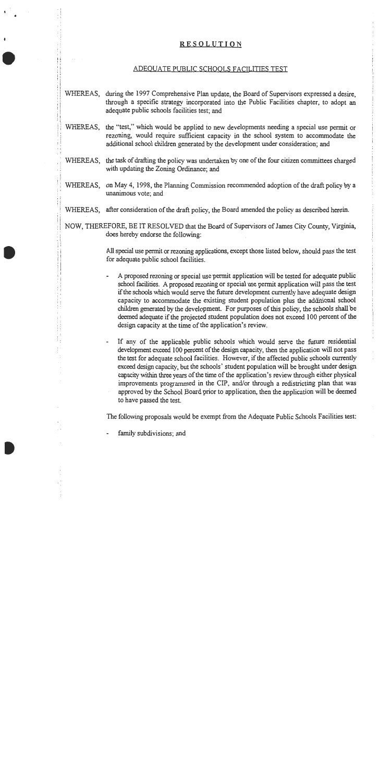### **RESOLUTION**

#### ADEQUATE PUBLIC SCHOOLS FACILITIES TEST

- WHEREAS, during the 1997 Comprehensive Plan update, the Board of Supervisors expressed a desire, through a specific strategy incorporated into the Public Facilities chapter, to adopt an adequate public schools facilities test; and
- WHEREAS, the "test," which would be applied to new developments needing a special use permit or rezoning, would require sufficient capacity in the school system to accommodate the additional school children generated by the development under consideration; and
- WHEREAS, the task of drafting the policy was undertaken by one of the four citizen committees charged with updating the Zoning Ordinance; and
- WHEREAS, on May 4, 1998, the Planning Commission recommended adoption of the draft policy by a unanimous vote; and
- WHEREAS, after consideration of the draft policy, the Board amended the policy as described herein.
- NOW, THEREFORE, BE IT RESOLVED that the Board of Supervisors of James City County, Virginia, does hereby endorse the following:

All special use permit or rezoning applications, except those listed below, should pass the test for adequate public school facilities.

- A proposed rezoning or special use permit application will be tested for adequate public  $\overline{\phantom{a}}$ school facilities. A proposed rezoning or special use permit application will pass the test if the schools which would serve the future development currently have adequate design capacity to accommodate the existing student population plus the additional school children generated by the development. For purposes of this policy, the schools shall be deemed adequate if the projected student population does not exceed 100 percent of the design capacity at the time of the application's review.
- If any of the applicable public schools which would serve the future residential development exceed 100 percent of the design capacity, then the application will not pass the test for adequate school facilities. However, if the affected public schools currently exceed design capacity, but the schools' student population will be brought under design capacity within three years of the time of the application's review through either physical improvements programmed in the CIP, and/or through a redistricting plan that was approved by the School Board prior to application, then the application will be deemed to have passed the test.

The following proposals would be exempt from the Adequate Public Schools Facilities test:

family subdivisions; and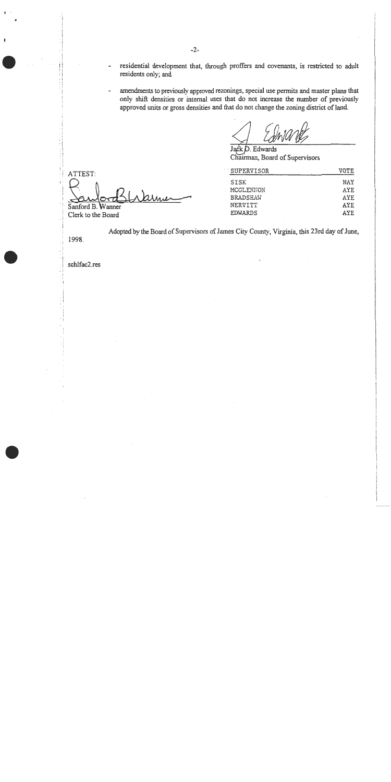- residential development that, through proffers and covenants, is restricted to adult  $\overline{a}$ residents only; and
- amendments to previously approved rezonings, special use permits and master plans that only shift densities or internal uses that do not increase the number of previously approved units or gross densities and that do not change the zoning district of land.

Jack D. Edwards Chairman, Board of Supervisors

| SUPERVISOR      | VOTE |  |  |  |
|-----------------|------|--|--|--|
| SISK            | NAY  |  |  |  |
| MCCLENNON       | AYE. |  |  |  |
| <b>BRADSHAW</b> | AYE. |  |  |  |
| NERVITT         | AYE. |  |  |  |
| <b>EDWARDS</b>  | AYE. |  |  |  |

Adopted by the Board of Supervisors of James City County, Virginia, this 23rd day of June,

1998.

ATTEST:

Sanford B. Wanner Clerk to the Board

schlfac2.res

arne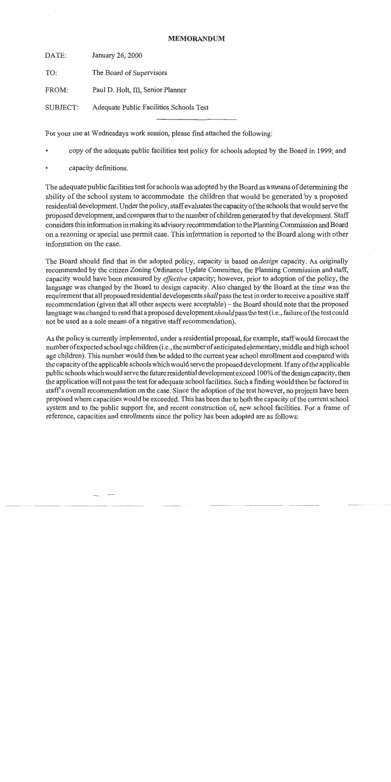#### **MEMORANDUM**

DATE: January 26, 2000

TO: The Board of Supervisors

FROM: Paul D. Holt, III, Senior Planner

Adequate Public Facilities Schools Test **SUBJECT:** 

For your use at Wednesdays work session, please find attached the following:

- copy of the adequate public facilities test policy for schools adopted by the Board in 1999; and
- capacity definitions.

The adequate public facilities test for schools was adopted by the Board as a means of determining the ability of the school system to accommodate the children that would be generated by a proposed residential development. Under the policy, staff evaluates the capacity of the schools that would serve the proposed development, and compares that to the number of children generated by that development. Staff considers this information in making its advisory recommendation to the Planning Commission and Board on a rezoning or special use permit case. This information is reported to the Board along with other information on the case.

The Board should find that in the adopted policy, capacity is based on *design* capacity. As originally recommended by the citizen Zoning Ordinance Update Committee, the Planning Commission and staff, capacity would have been measured by *effective* capacity; however, prior to adoption of the policy, the language was changed by the Board to design capacity. Also changed by the Board at the time was the requirement that all proposed residential developments shall pass the test in order to receive a positive staff recommendation (given that all other aspects were acceptable) – the Board should note that the proposed language was changed to read that a proposed development should pass the test (i.e., failure of the test could not be used as a sole means of a negative staff recommendation).

As the policy is currently implemented, under a residential proposal, for example, staff would forecast the number of expected school age children (i.e., the number of anticipated elementary, middle and high school age children). This number would then be added to the current year school enrollment and compared with the capacity of the applicable schools which would serve the proposed development. If any of the applicable public schools which would serve the future residential development exceed 100% of the design capacity, then the application will not pass the test for adequate school facilities. Such a finding would then be factored in staff's overall recommendation on the case. Since the adoption of the test however, no projects have been proposed where capacities would be exceeded. This has been due to both the capacity of the current school system and to the public support for, and recent construction of, new school facilities. For a frame of reference, capacities and enrollments since the policy has been adopted are as follows: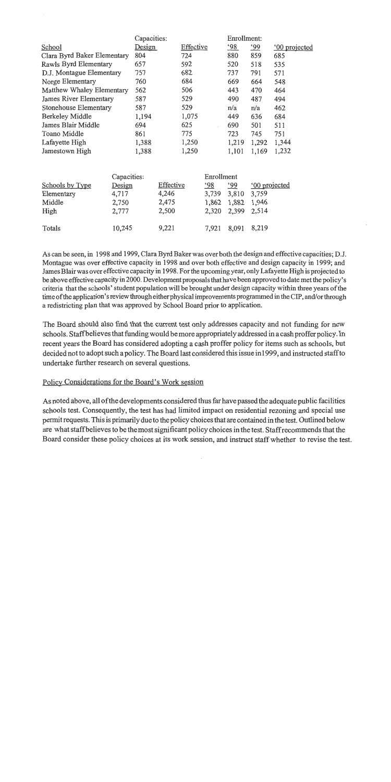|                             | Capacities: |       |           |       | Enrollment: |            |                      |                      |
|-----------------------------|-------------|-------|-----------|-------|-------------|------------|----------------------|----------------------|
| School                      | Design      |       | Effective |       | <u>'98</u>  | <u>'99</u> | <u>'00</u> projected |                      |
| Clara Byrd Baker Elementary |             | 804   |           | 724   |             | 880        | 859                  | 685                  |
| Rawls Byrd Elementary       |             | 657   |           | 592   |             | 520        | 518                  | 535                  |
| D.J. Montague Elementary    |             | 757   |           | 682   |             | 737        | 791                  | 571                  |
| Norge Elementary            |             | 760   |           | 684   |             | 669        | 664                  | 548                  |
| Matthew Whaley Elementary   |             | 562   |           | 506   |             | 443        | 470                  | 464                  |
| James River Elementary      |             | 587   |           | 529   |             | 490        | 487                  | 494                  |
| Stonehouse Elementary       |             | 587   |           | 529   |             | n/a        | n/a                  | 462                  |
| <b>Berkeley Middle</b>      |             | 1,194 |           | 1,075 |             | 449        | 636                  | 684                  |
| James Blair Middle          |             | 694   |           | 625   |             | 690        | 501                  | 511                  |
| Toano Middle                |             | 861   |           | 775   |             | 723        | 745                  | 751                  |
| Lafayette High              |             | 1,388 |           | 1,250 |             | 1,219      | 1,292                | 1,344                |
| Jamestown High              |             | 1,388 |           | 1,250 |             | 1,101      | 1,169                | 1,232                |
|                             | Capacities: |       |           |       | Enrollment  |            |                      |                      |
| Schools by Type             | Design      |       | Effective |       | <u>'98</u>  | .99        |                      | <u>'00 projected</u> |
| Elementary                  | 4,717       |       | 4,246     |       | 3,739       | 3,810      | 3,759                |                      |
| Middle                      | 2,750       |       | 2,475     |       | 1,862       | 1,882      | 1,946                |                      |

2,500

9,221

| As can be seen, in 1998 and 1999, Clara Byrd Baker was over both the design and effective capacities; D.J.    |
|---------------------------------------------------------------------------------------------------------------|
| Montague was over effective capacity in 1998 and over both effective and design capacity in 1999; and         |
| James Blair was over effective capacity in 1998. For the upcoming year, only Lafayette High is projected to   |
| be above effective capacity in 2000. Development proposals that have been approved to date met the policy's   |
| criteria that the schools' student population will be brought under design capacity within three years of the |
| time of the application's review through either physical improvements programmed in the CIP, and/or through   |
| a redistricting plan that was approved by School Board prior to application.                                  |

7,921 8,091 8,219

2,514

2,320 2,399

The Board should also find that the current test only addresses capacity and not funding for new schools. Staff believes that funding would be more appropriately addressed in a cash proffer policy. In recent years the Board has considered adopting a cash proffer policy for items such as schools, but decided not to adopt such a policy. The Board last considered this issue in 1999, and instructed staff to undertake further research on several questions.

# Policy Considerations for the Board's Work session

2,777

10,245

High

Totals

As noted above, all of the developments considered thus far have passed the adequate public facilities schools test. Consequently, the test has had limited impact on residential rezoning and special use permit requests. This is primarily due to the policy choices that are contained in the test. Outlined below are what staff believes to be the most significant policy choices in the test. Staff recommends that the Board consider these policy choices at its work session, and instruct staff whether to revise the test.